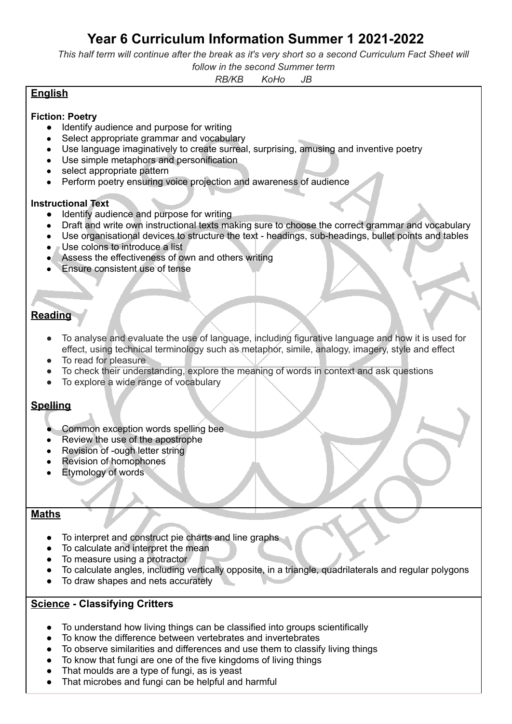# **Year 6 Curriculum Information Summer 1 2021-2022**

This half term will continue after the break as it's very short so a second Curriculum Fact Sheet will

#### *follow in the second Summer term*

*RB/KB KoHo JB*

## **English**

#### **Fiction: Poetry**

- Identify audience and purpose for writing
- Select appropriate grammar and vocabulary
- Use language imaginatively to create surreal, surprising, amusing and inventive poetry
- Use simple metaphors and personification
- select appropriate pattern
- Perform poetry ensuring voice projection and awareness of audience

#### **Instructional Text**

- Identify audience and purpose for writing
- Draft and write own instructional texts making sure to choose the correct grammar and vocabulary
- Use organisational devices to structure the text headings, sub-headings, bullet points and tables
- **Use colons to introduce a list**
- Assess the effectiveness of own and others writing
- **Ensure consistent use of tense**

# **Reading**

- To analyse and evaluate the use of language, including figurative language and how it is used for effect, using technical terminology such as metaphor, simile, analogy, imagery, style and effect
- To read for pleasure
- To check their understanding, explore the meaning of words in context and ask questions
- To explore a wide range of vocabulary

## **Spelling**

- Common exception words spelling bee
- Review the use of the apostrophe
- Revision of -ough letter string
- **Revision of homophones**
- Etymology of words

#### **Maths**

- To interpret and construct pie charts and line graphs
- To calculate and interpret the mean
- To measure using a protractor
- To calculate angles, including vertically opposite, in a triangle, quadrilaterals and regular polygons
- To draw shapes and nets accurately

#### **Science - Classifying Critters**

- To understand how living things can be classified into groups scientifically
- To know the difference between vertebrates and invertebrates
- To observe similarities and differences and use them to classify living things
- To know that fungi are one of the five kingdoms of living things
- That moulds are a type of fungi, as is yeast
- That microbes and fungi can be helpful and harmful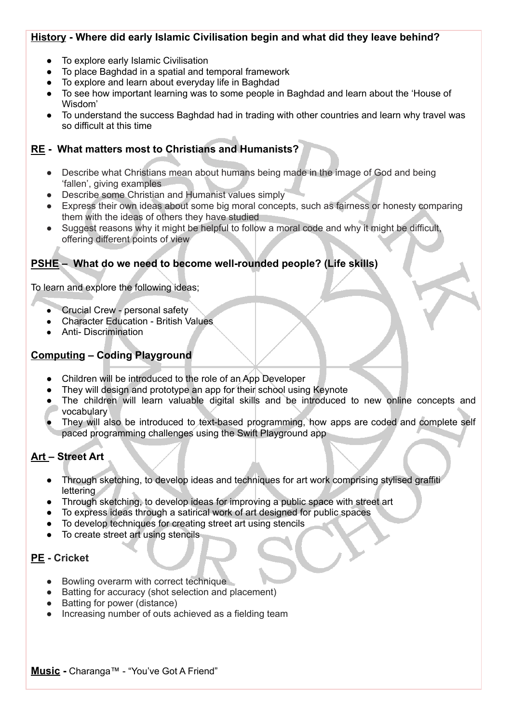#### **History - Where did early Islamic Civilisation begin and what did they leave behind?**

- To explore early Islamic Civilisation
- To place Baghdad in a spatial and temporal framework
- To explore and learn about everyday life in Baghdad
- To see how important learning was to some people in Baghdad and learn about the 'House of Wisdom'
- To understand the success Baghdad had in trading with other countries and learn why travel was so difficult at this time

## **RE - What matters most to Christians and Humanists?**

- Describe what Christians mean about humans being made in the image of God and being 'fallen', giving examples
- Describe some Christian and Humanist values simply
- Express their own ideas about some big moral concepts, such as fairness or honesty comparing them with the ideas of others they have studied
- Suggest reasons why it might be helpful to follow a moral code and why it might be difficult, offering different points of view

# **PSHE – What do we need to become well-rounded people? (Life skills)**

To learn and explore the following ideas;

- **Crucial Crew personal safety**
- **Character Education British Values**
- Anti- Discrimination

## **Computing – Coding Playground**

- Children will be introduced to the role of an App Developer
- They will design and prototype an app for their school using Keynote
- The children will learn valuable digital skills and be introduced to new online concepts and vocabulary
- They will also be introduced to text-based programming, how apps are coded and complete self paced programming challenges using the Swift Playground app

## **Art – Street Art**

- Through sketching, to develop ideas and techniques for art work comprising stylised graffiti lettering
- Through sketching, to develop ideas for improving a public space with street art
- To express ideas through a satirical work of art designed for public spaces
- To develop techniques for creating street art using stencils
- To create street art using stencils

# **PE - Cricket**

- Bowling overarm with correct technique
- Batting for accuracy (shot selection and placement)
- Batting for power (distance)
- Increasing number of outs achieved as a fielding team

#### **Music -** Charanga™ - "You've Got A Friend"